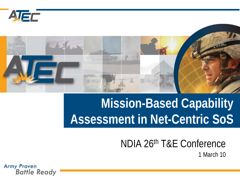



### **Mission-Based Capability Assessment in Net-Centric SoS**

#### NDIA 26th T&E Conference 1 March 10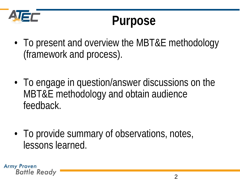

### **Purpose**

- To present and overview the MBT&E methodology (framework and process).
- To engage in question/answer discussions on the MBT&E methodology and obtain audience feedback.
- To provide summary of observations, notes, lessons learned.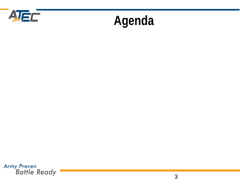

### **Agenda**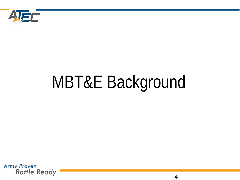

# MBT&E Background

**Army Proven Battle Ready** 

4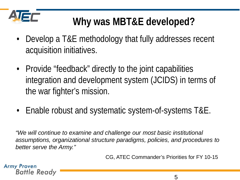

### **Why was MBT&E developed?**

- Develop a T&E methodology that fully addresses recent acquisition initiatives.
- Provide "feedback" directly to the joint capabilities integration and development system (JCIDS) in terms of the war fighter's mission.
- Enable robust and systematic system-of-systems T&E.

*"We will continue to examine and challenge our most basic institutional assumptions, organizational structure paradigms, policies, and procedures to better serve the Army."*

CG, ATEC Commander's Priorities for FY 10-15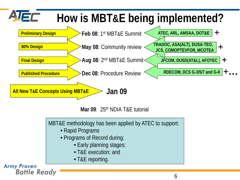

- Rapid Programs
- Programs of Record during:
	- Early planning stages;
	- T&E execution; and
	- T&E reporting.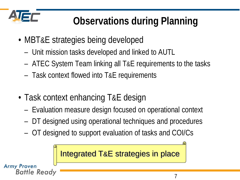

### **Observations during Planning**

- MBT&E strategies being developed
	- Unit mission tasks developed and linked to AUTL
	- ATEC System Team linking all T&E requirements to the tasks
	- Task context flowed into T&E requirements
- Task context enhancing T&E design
	- Evaluation measure design focused on operational context
	- DT designed using operational techniques and procedures
	- OT designed to support evaluation of tasks and COI/Cs

Integrated T&E strategies in place**Army Proven** Battle Readv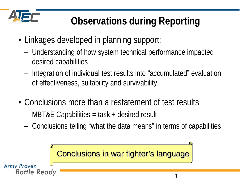

### **Observations during Reporting**

- Linkages developed in planning support:
	- Understanding of how system technical performance impacted desired capabilities
	- Integration of individual test results into "accumulated" evaluation of effectiveness, suitability and survivability
- Conclusions more than a restatement of test results
	- MBT&E Capabilities = task + desired result
	- Conclusions telling "what the data means" in terms of capabilities

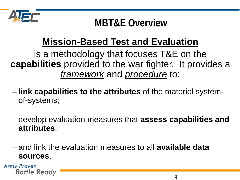

### **MBT&E Overview**

### **Mission-Based Test and Evaluation**

is a methodology that focuses T&E on the **capabilities** provided to the war fighter. It provides a *framework* and *procedure* to:

- **link capabilities to the attributes** of the materiel systemof-systems;
- develop evaluation measures that **assess capabilities and attributes**;
- and link the evaluation measures to all **available data sources**.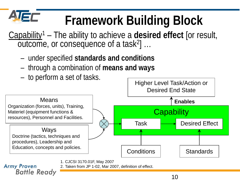### **IST Framework Building Block**

Capability1 – The ability to achieve a **desired effect** [or result, outcome, or consequence of a task2] …

- under specified **standards and conditions**
- through a combination of **means and ways**
- to perform a set of tasks.

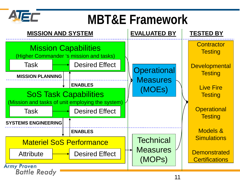

### **MBT&E Framework**

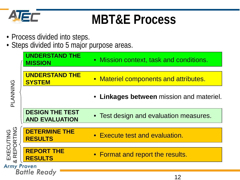

### **MBT&E Process**

- Process divided into steps.
- Steps divided into 5 major purpose areas.

| OZIZZAND<br>EXECUTING<br>& REPORTING | <b>UNDERSTAND THE</b><br><b>MISSION</b>         | • Mission context, task and conditions.  |
|--------------------------------------|-------------------------------------------------|------------------------------------------|
|                                      | <b>UNDERSTAND THE</b><br><b>SYSTEM</b>          | • Materiel components and attributes.    |
|                                      |                                                 | • Linkages between mission and materiel. |
|                                      | <b>DESIGN THE TEST</b><br><b>AND EVALUATION</b> | • Test design and evaluation measures.   |
|                                      | <b>DETERMINE THE</b><br><b>RESULTS</b>          | • Execute test and evaluation.           |
|                                      | <b>REPORT THE</b><br><b>RESULTS</b>             | • Format and report the results.         |
| <b>Army Proven</b>                   | Rattle Ready                                    |                                          |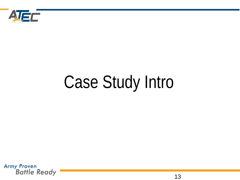

# Case Study Intro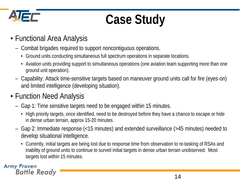

# **Case Study**

- Functional Area Analysis
	- Combat brigades required to support noncontiguous operations.
		- Ground units conducting simultaneous full spectrum operations in separate locations.
		- Aviation units providing support to simultaneous operations (one aviation team supporting more than one ground unit operation).
	- Capability: Attack time-sensitive targets based on maneuver ground units call for fire (eyes-on) and limited intelligence (developing situation).
- Function Need Analysis
	- Gap 1: Time sensitive targets need to be engaged within 15 minutes.
		- High priority targets, once identified, need to be destroyed before they have a chance to escape or hide in dense urban terrain, approx 15-20 minutes.
	- Gap 2: Immediate response (<15 minutes) and extended surveillance (>45 minutes) needed to develop situational intelligence.
		- Currently, initial targets are being lost due to response time from observation to re-tasking of RSAs and inability of ground units to continue to surveil initial targets in dense urban terrain unobserved. Most targets lost within 15 minutes.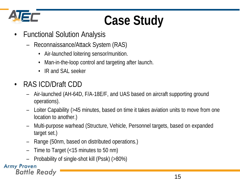

# **Case Study**

- Functional Solution Analysis
	- Reconnaissance/Attack System (RAS)
		- Air-launched loitering sensor/munition.
		- Man-in-the-loop control and targeting after launch.
		- IR and SAL seeker
- RAS ICD/Draft CDD
	- Air-launched (AH-64D, F/A-18E/F, and UAS based on aircraft supporting ground operations).
	- Loiter Capability (>45 minutes, based on time it takes aviation units to move from one location to another.)
	- Multi-purpose warhead (Structure, Vehicle, Personnel targets, based on expanded target set.)
	- Range (50nm, based on distributed operations.)
	- Time to Target (<15 minutes to 50 nm)
	- Probability of single-shot kill (Pssk) (>80%)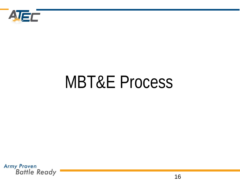

# MBT&E Process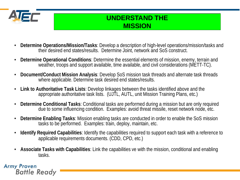

#### **UNDERSTAND THE MISSION**

- **Determine Operations/Mission/Tasks**: Develop a description of high-level operations/mission/tasks and their desired end states/results. Determine Joint, network and SoS construct.
- **Determine Operational Conditions**: Determine the essential elements of mission, enemy, terrain and weather, troops and support available, time available, and civil considerations (METT-TC).
- **Document/Conduct Mission Analysis**: Develop SoS mission task threads and alternate task threads where applicable. Determine task desired end states/results.
- **Link to Authoritative Task Lists**: Develop linkages between the tasks identified above and the appropriate authoritative task lists. (UJTL, AUTL, unit Mission Training Plans, etc.)
- **Determine Conditional Tasks**: Conditional tasks are performed during a mission but are only required due to some influencing condition. Examples: avoid threat missile, reset network node, etc.
- **Determine Enabling Tasks**: Mission enabling tasks are conducted in order to enable the SoS mission tasks to be performed. Examples: train, deploy, maintain, etc.
- **Identify Required Capabilities**: Identify the capabilities required to support each task with a reference to applicable requirements documents. (CDD, CPD, etc.)
- **Associate Tasks with Capabilities**: Link the capabilities ve with the mission, conditional and enabling tasks.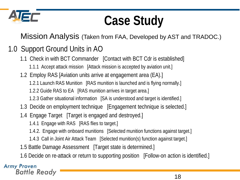

### **Case Study**

Mission Analysis (Taken from FAA, Developed by AST and TRADOC.)

### 1.0 Support Ground Units in AO

- 1.1 Check in with BCT Commander [Contact with BCT Cdr is established] 1.1.1 Accept attack mission [Attack mission is accepted by aviation unit.]
- 1.2 Employ RAS [Aviation units arrive at engagement area (EA).]
	- 1.2.1 Launch RAS Munition [RAS munition is launched and is flying normally.]
	- 1.2.2 Guide RAS to EA [RAS munition arrives in target area.]
	- 1.2.3 Gather situational information [SA is understood and target is identified.]
- 1.3 Decide on employment technique [Engagement technique is selected.]
- 1.4 Engage Target [Target is engaged and destroyed.]
	- 1.4.1 Engage with RAS [RAS flies to target.]
	- 1.4.2. Engage with onboard munitions [Selected munition functions against target.]
	- 1.4.3 Call in Joint Air Attack Team [Selected munition(s) function against target.]
- 1.5 Battle Damage Assessment [Target state is determined.]
- 1.6 Decide on re-attack or return to supporting position [Follow-on action is identified.]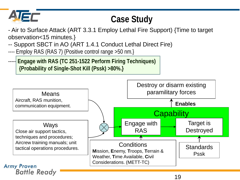

### **Case Study**

- Air to Surface Attack (ART 3.3.1 Employ Lethal Fire Support) {Time to target observation<15 minutes.}

- -- Support SBCT in AO (ART 1.4.1 Conduct Lethal Direct Fire)
- ---- Employ RAS (RAS 7) {Positive control range >50 nm.}
- ----- **Engage with RAS (TC 251-1522 Perform Firing Techniques) {Probability of Single-Shot Kill (Pssk) >80%.}**

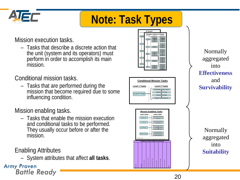

### **Note: Task Types**

Mission execution tasks.

– Tasks that describe a discrete action that the unit (system and its operators) must perform in order to accomplish its main mission.

Conditional mission tasks.

– Tasks that are performed during the mission that become required due to some influencing condition.

Mission enabling tasks.

– Tasks that enable the mission execution and conditional tasks to be performed. They usually occur before or after the mission.

Enabling Attributes

– System attributes that affect **all tasks**.

**Army Proven Battle Ready** 



**Conditional Mission Tasks**

**Avoid IR Threat Level 1 Tasks Level 2 Tasks** Acknowledge Missile Launch\* Maintain SA of Threat Control Aircraft Flight Deploy Countermeasures **Mission Enabling Tasks** Deploy Unit Plan Mission\* Train Pilots & Loadmaster Train Maintainers **Level 1 Tasks Level 2 Tasks** Flight Planning in AMPS\* Prepare Air Mission Brief\* Ready Materiel for Transport\* Self Deploy\*1 Train Unit Maintain System Battle Damage Repair \* Task not evaluated <sup>1</sup> Self deploy range requirement evaluated in *Fly to Destination* task in essential mission tasks. **ENABLING CHARACTERISTICS (Suitability)** Reliability Availability Logistic Supportability MANPRINT/Human Factors Interoperability/Net Ready Ballistic Survivability Non-ballistic Survivability Information Assurance

Normally aggregated into **Effectiveness** and **Survivability**

> Normally aggregated into **Suitability**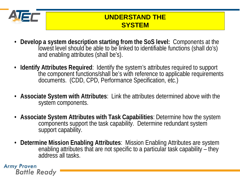

#### **UNDERSTAND THE SYSTEM**

- **Develop a system description starting from the SoS level:** Components at the lowest level should be able to be linked to identifiable functions (shall do's) and enabling attributes (shall be's).
- **Identify Attributes Required**: Identify the system's attributes required to support<br>the component functions/shall be's with reference to applicable requirements<br>documents. (CDD, CPD, Performance Specification, etc.)
- **Associate System with Attributes**: Link the attributes determined above with the system components.
- **Associate System Attributes with Task Capabilities**: Determine how the system components support the task capability. Determine redundant system support capability.
- **Determine Mission Enabling Attributes**: Mission Enabling Attributes are system enabling attributes that are not specific to a particular task capability  $\ddot{\mathsf{I}}$  they address all tasks.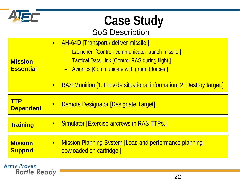

# **Case Study**

#### SoS Description

| <b>Mission</b><br><b>Essential</b> | - Tactical Data Link [Control RAS during flight.]<br>- Avionics [Communicate with ground forces.]<br><b>RAS Munition [1. Provide situational information, 2. Destroy target.]</b><br>$\bullet$ |
|------------------------------------|------------------------------------------------------------------------------------------------------------------------------------------------------------------------------------------------|
|                                    |                                                                                                                                                                                                |
| <b>TTP</b><br><b>Dependent</b>     | <b>Remote Designator [Designate Target]</b><br>$\bullet$                                                                                                                                       |
| <b>Training</b>                    | • Simulator [Exercise aircrews in RAS TTPs.]                                                                                                                                                   |
| <b>Mission</b><br><b>Support</b>   | • Mission Planning System [Load and performance planning<br>dowloaded on cartridge.                                                                                                            |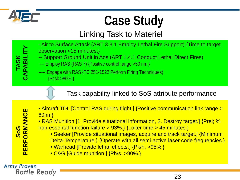

TASK<br>CAPABILIT **CAPABILITY**

## **Case Study**

### Linking Task to Materiel

- Air to Surface Attack (ART 3.3.1 Employ Lethal Fire Support) {Time to target observation <15 minutes.}
- -- Support Ground Unit in Aos (ART 1.4.1 Conduct Lethal Direct Fires)
- ---- Employ RAS (RAS 7) {Positive control range >50 nm.}
- ----- Engage with RAS (TC 251-1522 Perform Firing Techniques) {Pssk >80%.}

#### Task capability linked to SoS attribute performance

• Aircraft TDL [Control RAS during flight.] {Positive communication link range > **PERFORMANCE PERFORMANCE** 60nm} • RAS Munition [1. Provide situational information, 2. Destroy target.] {Prel; % non-essental function failure > 93%.} {Loiter time > 45 minutes.} **SoS** • Seeker [Provide situational images, acquire and track target.] {Minimum Delta-Temperature.} {Operate with all semi-active laser code frequencies.} • Warhead [Provide lethal effects.] {Pk/h, >95%.} • C&G [Guide munition.] {Ph/s, >90%.}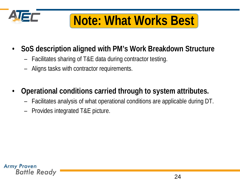

### **Note: What Works Best**

- **SoS description aligned with PM's Work Breakdown Structure**
	- Facilitates sharing of T&E data during contractor testing.
	- Aligns tasks with contractor requirements.
- **Operational conditions carried through to system attributes.**
	- Facilitates analysis of what operational conditions are applicable during DT.
	- Provides integrated T&E picture.

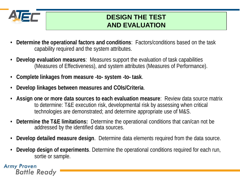

#### **DESIGN THE TEST AND EVALUATION**

- **Determine the operational factors and conditions**: Factors/conditions based on the task capability required and the system attributes.
- **Develop evaluation measures**: Measures support the evaluation of task capabilities (Measures of Effectiveness), and system attributes (Measures of Performance).
- **Complete linkages from measure -to- system -to- task**.
- **Develop linkages between measures and COIs/Criteria**.
- **Assign one or more data sources to each evaluation measure**: Review data source matrix to determine: T&E execution risk, developmental risk by assessing when critical technologies are demonstrated; and determine appropriate use of M&S.
- **Determine the T&E limitations:** Determine the operational conditions that can/can not be addressed by the identified data sources.
- **Develop detailed measure design**. Determine data elements required from the data source.
- **Develop design of experiments**. Determine the operational conditions required for each run, sortie or sample.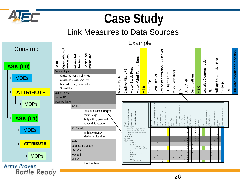



#### Link Measures to Data Sources

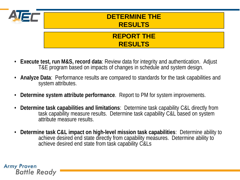

#### **DETERMINE THE RESULTS**

#### **REPORT THE RESULTS**

- **Execute test, run M&S, record data**: Review data for integrity and authentication. Adjust T&E program based on impacts of changes in schedule and system design.
- **Analyze Data**: Performance results are compared to standards for the task capabilities and system attributes.
- **Determine system attribute performance**. Report to PM for system improvements.
- **Determine task capabilities and limitations**: Determine task capability C&L directly from task capability measure results. Determine task capability C&L based on system attribute measure results.
- **Determine task C&L impact on high-level mission task capabilities**: Determine ability to achieve desired end state directly from capability measures. Determine ability to achieve desired end state from task capability C&Ls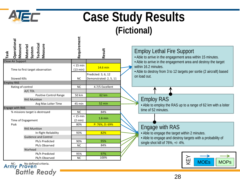

### **Case Study Results (Fictional)**

| Operationa<br>Technical<br>Measure<br>Measure<br>Materiel<br>System<br>Task | Requirement            | Result                                        | <b>Employ Lethal Fire Support</b><br>. Able to arrive in the engagement area within 15 minutes. |
|-----------------------------------------------------------------------------|------------------------|-----------------------------------------------|-------------------------------------------------------------------------------------------------|
| <b>Close Air Support</b>                                                    |                        |                                               | • Able to arrive in the engagement area and destroy the target                                  |
| Time to first target observation                                            | $< 15$ min<br>(13 min) | 14.6 min                                      | within 16.2 minutes.<br>• Able to destroy from 3 to 12 targets per sortie (2 aircraft) based    |
| <b>Stowed Kills</b>                                                         | <b>NC</b>              | Predicted: 3, 6, 12<br>Demonstrated: 2, 5, 11 | on load out.                                                                                    |
| <b>Employ RAS</b>                                                           |                        |                                               |                                                                                                 |
| Rating of control                                                           | <b>NC</b>              | 4.7/5 Excellent                               |                                                                                                 |
| A/C TDL                                                                     |                        |                                               |                                                                                                 |
| <b>Positive Control Range</b>                                               | 50 km                  | 62 km                                         |                                                                                                 |
| <b>RAS Munition</b>                                                         |                        |                                               | <b>Employ RAS</b>                                                                               |
| Avg Max Loiter Time                                                         | 45 min                 | 52 min                                        | • Able to employ the RAS up to a range of 62 km with a loiter                                   |
| <b>Engage with RAS</b>                                                      |                        |                                               | time of 52 minutes.                                                                             |
| % missions target is destroyed                                              | <b>NC</b>              | 84%                                           |                                                                                                 |
|                                                                             | $<$ 15 min             | $1.6$ min                                     |                                                                                                 |
| Time of Engagement                                                          | $(2 \text{ min})$      |                                               |                                                                                                 |
| Pssk                                                                        | 80%                    | P: 76%, D: 69%                                | Engage with RAS                                                                                 |
| <b>RAS Munition</b>                                                         | 93%                    | 82%                                           |                                                                                                 |
| In-flight Reliability<br><b>Guidence and Control</b>                        |                        |                                               | . Able to engage the target within 2 minutes.                                                   |
| Ph/s Predicted                                                              | 90%                    | 95%                                           | • Able to engage and destroy targets with a probability of                                      |
| Ph/s Observed                                                               | <b>NC</b>              | 84%                                           | single shot kill of 76%, +/- 4%.                                                                |
| Warhead                                                                     |                        |                                               |                                                                                                 |
| Pk/h Predicted                                                              | 95%                    | 97%                                           |                                                                                                 |
| Pk/h Observed                                                               | <b>NC</b>              | 100%                                          |                                                                                                 |
| No defined criteria.<br>$Armv$ Proven                                       |                        |                                               | $\overline{\mathbb{F}}$<br><b>MOEs</b><br><b>MOPs</b>                                           |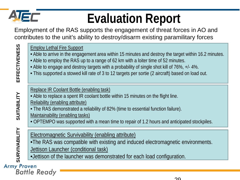

**EFFECTIVENESS**

**EFFECTIVENESS** 

**SUITABILITY**

SUITABILITY

**SURVIVABILITY**

SURVIVABILITY

# **Evaluation Report**

Employment of the RAS supports the engagement of threat forces in AO and contributes to the unit's ability to destroy/disarm existing paramilitary forces

#### Employ Lethal Fire Support

- Able to arrive in the engagement area within 15 minutes and destroy the target within 16.2 minutes.
- Able to employ the RAS up to a range of 62 km with a loiter time of 52 minutes.
- Able to engage and destroy targets with a probability of single shot kill of 76%, +/- 4%.
- This supported a stowed kill rate of 3 to 12 targets per sortie (2 aircraft) based on load out.

#### Replace IR Coolant Bottle (enabling task)

- Able to replace a spent IR coolant bottle within 15 minutes on the flight line.
- Reliability (enabling attribute)
- The RAS demonstrated a reliability of 82% (time to essential function failure).
- Maintainability (enabling tasks)
- OPTEMPO was supported with a mean time to repair of 1.2 hours and anticipated stockpiles.

#### Electromagnetic Survivability (enabling attribute)

- •The RAS was compatible with existing and induced electromagnetic environments.
- Jettison Launcher (conditional task)
- •Jettison of the launcher was demonstrated for each load configuration.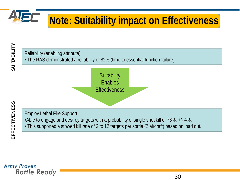

### **Note: Suitability impact on Effectiveness**

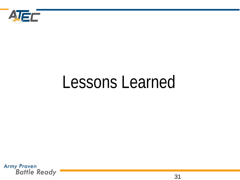

# Lessons Learned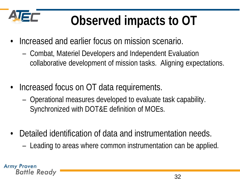

## **Observed impacts to OT**

- Increased and earlier focus on mission scenario.
	- Combat, Materiel Developers and Independent Evaluation collaborative development of mission tasks. Aligning expectations.
- Increased focus on OT data requirements.
	- Operational measures developed to evaluate task capability. Synchronized with DOT&E definition of MOEs.
- Detailed identification of data and instrumentation needs.
	- Leading to areas where common instrumentation can be applied.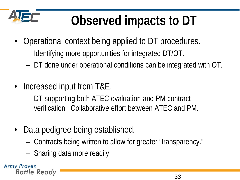

# **Observed impacts to DT**

- Operational context being applied to DT procedures.
	- Identifying more opportunities for integrated DT/OT.
	- DT done under operational conditions can be integrated with OT.
- Increased input from T&E.
	- DT supporting both ATEC evaluation and PM contract verification. Collaborative effort between ATEC and PM.
- Data pedigree being established.
	- Contracts being written to allow for greater "transparency."
	- Sharing data more readily.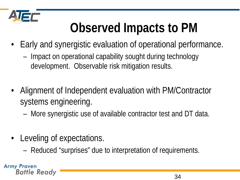

# **Observed Impacts to PM**

- Early and synergistic evaluation of operational performance.
	- Impact on operational capability sought during technology development. Observable risk mitigation results.
- Alignment of Independent evaluation with PM/Contractor systems engineering.
	- More synergistic use of available contractor test and DT data.
- Leveling of expectations.
	- Reduced "surprises" due to interpretation of requirements.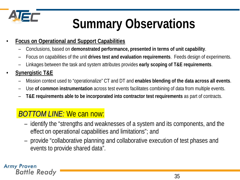

# **Summary Observations**

- **Focus on Operational and Support Capabilities**
	- Conclusions, based on **demonstrated performance, presented in terms of unit capability**.
	- Focus on capabilities of the unit **drives test and evaluation requirements**. Feeds design of experiments.
	- Linkages between the task and system attributes provides **early scoping of T&E requirements**.
- **Synergistic T&E**
	- Mission context used to "operationalize" CT and DT and **enables blending of the data across all events**.
	- Use **of common instrumentation** across test events facilitates combining of data from multiple events.
	- **T&E requirements able to be incorporated into contractor test requirements** as part of contracts.

#### *BOTTOM LINE:* We can now:

- identify the "strengths and weaknesses of a system and its components, and the effect on operational capabilities and limitations"; and
- provide "collaborative planning and collaborative execution of test phases and events to provide shared data".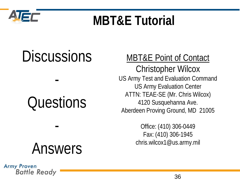

### **MBT&E Tutorial**

# **Discussions**

# **Questions**

-

# Answers

-

#### **Army Proven Battle Ready**

### MBT&E Point of Contact

Christopher Wilcox US Army Test and Evaluation Command US Army Evaluation Center ATTN: TEAE-SE (Mr. Chris Wilcox) 4120 Susquehanna Ave. Aberdeen Proving Ground, MD 21005

> Office: (410) 306-0449 Fax: (410) 306-1945 chris.wilcox1@us.army.mil